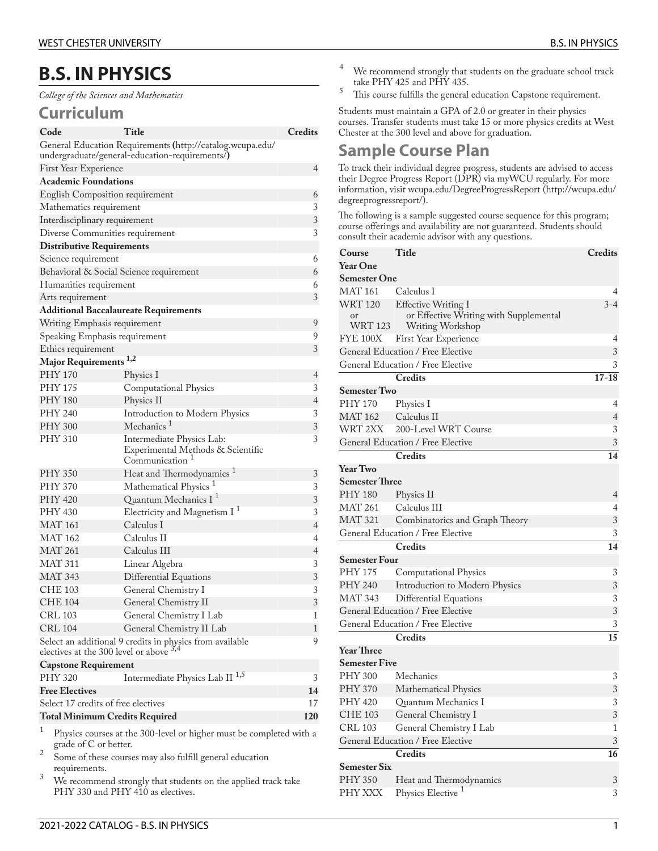## **B.S. IN PHYSICS**

*College of the Sciences and Mathematics*

## **Curriculum**

| Code                                         | Title                                                               | Credits        |  |  |
|----------------------------------------------|---------------------------------------------------------------------|----------------|--|--|
|                                              | General Education Requirements (http://catalog.wcupa.edu/           |                |  |  |
|                                              | undergraduate/general-education-requirements/)                      |                |  |  |
| First Year Experience                        |                                                                     | 4              |  |  |
| <b>Academic Foundations</b>                  |                                                                     |                |  |  |
| English Composition requirement              |                                                                     |                |  |  |
| Mathematics requirement                      |                                                                     |                |  |  |
| Interdisciplinary requirement                |                                                                     | 3              |  |  |
| Diverse Communities requirement              |                                                                     | 3              |  |  |
| <b>Distributive Requirements</b>             |                                                                     |                |  |  |
| Science requirement                          |                                                                     | 6              |  |  |
| Behavioral & Social Science requirement      |                                                                     |                |  |  |
| Humanities requirement                       |                                                                     |                |  |  |
| Arts requirement                             |                                                                     | 3              |  |  |
| <b>Additional Baccalaureate Requirements</b> |                                                                     |                |  |  |
| Writing Emphasis requirement                 |                                                                     | 9              |  |  |
| Speaking Emphasis requirement                |                                                                     | 9              |  |  |
| Ethics requirement                           |                                                                     | 3              |  |  |
| Major Requirements <sup>1,2</sup>            |                                                                     |                |  |  |
| PHY 170                                      | Physics I                                                           | 4              |  |  |
| <b>PHY 175</b>                               | Computational Physics                                               | 3              |  |  |
| <b>PHY 180</b>                               | Physics II                                                          | $\overline{4}$ |  |  |
| PHY 240                                      | Introduction to Modern Physics                                      | 3              |  |  |
| <b>PHY 300</b>                               | Mechanics <sup>1</sup>                                              | 3              |  |  |
| PHY 310                                      | Intermediate Physics Lab:                                           | 3              |  |  |
|                                              | Experimental Methods & Scientific                                   |                |  |  |
|                                              | Communication                                                       |                |  |  |
| <b>PHY 350</b>                               | Heat and Thermodynamics <sup>1</sup>                                | 3              |  |  |
| PHY 370                                      | Mathematical Physics <sup>1</sup>                                   | 3              |  |  |
| PHY 420                                      | Quantum Mechanics I <sup>1</sup>                                    | 3              |  |  |
| PHY 430                                      | Electricity and Magnetism I <sup>1</sup>                            | 3              |  |  |
| <b>MAT 161</b>                               | Calculus I                                                          | $\overline{4}$ |  |  |
| <b>MAT 162</b>                               | Calculus II                                                         | 4              |  |  |
| <b>MAT 261</b>                               | Calculus III                                                        | 4              |  |  |
| <b>MAT 311</b>                               | Linear Algebra                                                      | 3              |  |  |
| <b>MAT 343</b>                               | Differential Equations                                              | 3              |  |  |
| <b>CHE 103</b>                               | General Chemistry I                                                 | 3              |  |  |
| <b>CHE 104</b>                               | General Chemistry II                                                | 3              |  |  |
| CRL 103                                      | General Chemistry I Lab                                             | 1              |  |  |
| <b>CRL 104</b>                               | General Chemistry II Lab                                            | 1              |  |  |
|                                              | Select an additional 9 credits in physics from available            | 9              |  |  |
| electives at the 300 level or above $3,4$    |                                                                     |                |  |  |
| <b>Capstone Requirement</b>                  |                                                                     |                |  |  |
| <b>PHY 320</b>                               | Intermediate Physics Lab II <sup>1,5</sup>                          | 3              |  |  |
| <b>Free Electives</b>                        |                                                                     |                |  |  |
|                                              | Select 17 credits of free electives<br>17                           |                |  |  |
| 120<br><b>Total Minimum Credits Required</b> |                                                                     |                |  |  |
| 1                                            | Physics courses at the 300-level or higher must be completed with a |                |  |  |

Physics courses at the 300-level or higher must be completed with a grade of C or better.

2 Some of these courses may also fulfill general education requirements.

 $3$  We recommend strongly that students on the applied track take PHY 330 and PHY 410 as electives.

- <sup>4</sup> We recommend strongly that students on the graduate school track take PHY 425 and PHY 435.
- $5$  This course fulfills the general education Capstone requirement.

Students must maintain a GPA of 2.0 or greater in their physics courses. Transfer students must take 15 or more physics credits at West Chester at the 300 level and above for graduation.

## **Sample Course Plan**

To track their individual degree progress, students are advised to access their Degree Progress Report (DPR) via myWCU regularly. For more information, visit [wcupa.edu/DegreeProgressReport \(http://wcupa.edu/](http://wcupa.edu/degreeprogressreport/) [degreeprogressreport/](http://wcupa.edu/degreeprogressreport/)).

The following is a sample suggested course sequence for this program; course offerings and availability are not guaranteed. Students should consult their academic advisor with any questions.

| Course                                 | Title                                                                                    | <b>Credits</b> |  |  |
|----------------------------------------|------------------------------------------------------------------------------------------|----------------|--|--|
| <b>Year One</b>                        |                                                                                          |                |  |  |
| <b>Semester One</b>                    |                                                                                          |                |  |  |
| <b>MAT 161</b>                         | Calculus I                                                                               | 4              |  |  |
| <b>WRT 120</b><br><b>or</b><br>WRT 123 | <b>Effective Writing I</b><br>or Effective Writing with Supplemental<br>Writing Workshop | $3 - 4$        |  |  |
| <b>FYE 100X</b>                        | First Year Experience                                                                    | 4              |  |  |
| General Education / Free Elective      | 3                                                                                        |                |  |  |
|                                        | General Education / Free Elective                                                        | 3              |  |  |
|                                        | <b>Credits</b>                                                                           | $17 - 18$      |  |  |
| <b>Semester Two</b>                    |                                                                                          |                |  |  |
| PHY 170                                | Physics I                                                                                | 4              |  |  |
| <b>MAT 162</b>                         | Calculus II                                                                              | $\overline{4}$ |  |  |
| WRT 2XX                                | 200-Level WRT Course                                                                     | 3              |  |  |
|                                        | General Education / Free Elective                                                        | 3              |  |  |
|                                        | <b>Credits</b>                                                                           | 14             |  |  |
| <b>Year Two</b>                        |                                                                                          |                |  |  |
| <b>Semester Three</b>                  |                                                                                          |                |  |  |
| <b>PHY 180</b>                         | Physics II                                                                               | 4              |  |  |
| <b>MAT 261</b>                         | Calculus III                                                                             | $\overline{4}$ |  |  |
| <b>MAT 321</b>                         | Combinatorics and Graph Theory                                                           | 3              |  |  |
| General Education / Free Elective      |                                                                                          | 3              |  |  |
|                                        | <b>Credits</b>                                                                           | 14             |  |  |
| <b>Semester Four</b>                   |                                                                                          |                |  |  |
| <b>PHY 175</b>                         | <b>Computational Physics</b>                                                             | 3              |  |  |
| <b>PHY 240</b>                         | Introduction to Modern Physics                                                           | 3              |  |  |
| <b>MAT 343</b>                         | Differential Equations                                                                   | $\overline{3}$ |  |  |
|                                        | General Education / Free Elective                                                        | 3              |  |  |
|                                        | General Education / Free Elective                                                        | 3              |  |  |
|                                        | <b>Credits</b>                                                                           | 15             |  |  |
| <b>Year Three</b>                      |                                                                                          |                |  |  |
| <b>Semester Five</b>                   |                                                                                          |                |  |  |
| <b>PHY 300</b>                         | Mechanics                                                                                | 3              |  |  |
| <b>PHY 370</b>                         | Mathematical Physics                                                                     | 3              |  |  |
| <b>PHY 420</b>                         | Quantum Mechanics I                                                                      | 3              |  |  |
| <b>CHE 103</b>                         | General Chemistry I                                                                      | 3              |  |  |
| <b>CRL 103</b>                         | General Chemistry I Lab                                                                  | $\mathbf{1}$   |  |  |
| General Education / Free Elective      |                                                                                          |                |  |  |
|                                        | <b>Credits</b>                                                                           | 16             |  |  |
| <b>Semester Six</b>                    |                                                                                          |                |  |  |
| <b>PHY 350</b>                         | Heat and Thermodynamics                                                                  | 3              |  |  |
| PHY XXX                                | Physics Elective <sup>1</sup>                                                            | 3              |  |  |